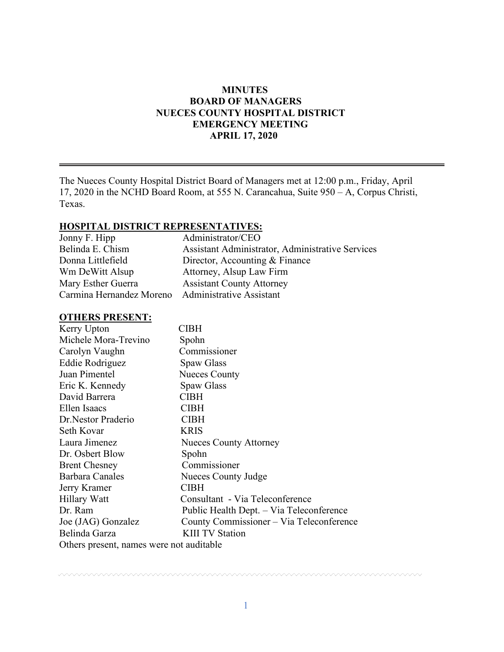## **MINUTES BOARD OF MANAGERS NUECES COUNTY HOSPITAL DISTRICT EMERGENCY MEETING APRIL 17, 2020**

The Nueces County Hospital District Board of Managers met at 12:00 p.m., Friday, April 17, 2020 in the NCHD Board Room, at 555 N. Carancahua, Suite 950 – A, Corpus Christi, Texas.

## **HOSPITAL DISTRICT REPRESENTATIVES:**

| Administrator/CEO                                       |
|---------------------------------------------------------|
| <b>Assistant Administrator, Administrative Services</b> |
| Director, Accounting & Finance                          |
| Attorney, Alsup Law Firm                                |
| <b>Assistant County Attorney</b>                        |
| Carmina Hernandez Moreno Administrative Assistant       |
|                                                         |

## **OTHERS PRESENT:**

| Kerry Upton                              | <b>CIBH</b>                              |
|------------------------------------------|------------------------------------------|
| Michele Mora-Trevino                     | Spohn                                    |
| Carolyn Vaughn                           | Commissioner                             |
| Eddie Rodriguez                          | Spaw Glass                               |
| Juan Pimentel                            | <b>Nueces County</b>                     |
| Eric K. Kennedy                          | Spaw Glass                               |
| David Barrera                            | <b>CIBH</b>                              |
| Ellen Isaacs                             | <b>CIBH</b>                              |
| Dr. Nestor Praderio                      | <b>CIBH</b>                              |
| Seth Kovar                               | <b>KRIS</b>                              |
| Laura Jimenez                            | <b>Nueces County Attorney</b>            |
| Dr. Osbert Blow                          | Spohn                                    |
| <b>Brent Chesney</b>                     | Commissioner                             |
| Barbara Canales                          | Nueces County Judge                      |
| Jerry Kramer                             | CIBH                                     |
| Hillary Watt                             | Consultant - Via Teleconference          |
| Dr. Ram                                  | Public Health Dept. - Via Teleconference |
| Joe (JAG) Gonzalez                       | County Commissioner - Via Teleconference |
| Belinda Garza                            | <b>KIII TV Station</b>                   |
| Others present, names were not auditable |                                          |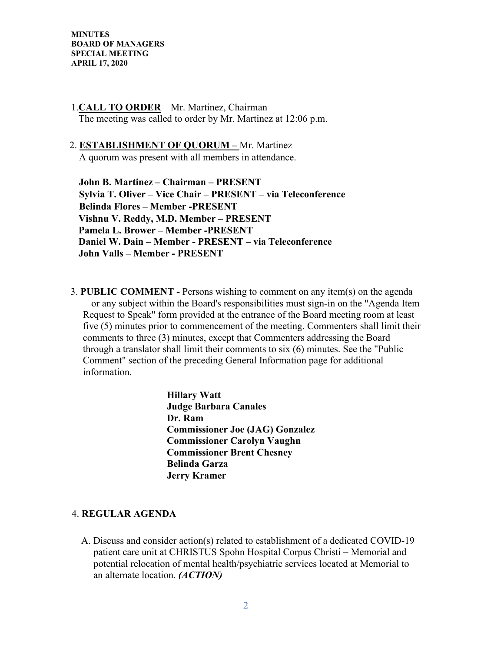## 1.**CALL TO ORDER** – Mr. Martinez, Chairman The meeting was called to order by Mr. Martinez at 12:06 p.m.

### 2. **ESTABLISHMENT OF QUORUM –** Mr. Martinez

A quorum was present with all members in attendance.

 **John B. Martinez – Chairman – PRESENT Sylvia T. Oliver – Vice Chair – PRESENT – via Teleconference Belinda Flores – Member -PRESENT Vishnu V. Reddy, M.D. Member – PRESENT Pamela L. Brower – Member -PRESENT Daniel W. Dain – Member - PRESENT – via Teleconference John Valls – Member - PRESENT** 

3. **PUBLIC COMMENT -** Persons wishing to comment on any item(s) on the agenda or any subject within the Board's responsibilities must sign-in on the "Agenda Item Request to Speak" form provided at the entrance of the Board meeting room at least five (5) minutes prior to commencement of the meeting. Commenters shall limit their comments to three (3) minutes, except that Commenters addressing the Board through a translator shall limit their comments to six (6) minutes. See the "Public Comment" section of the preceding General Information page for additional information.

> **Hillary Watt Judge Barbara Canales Dr. Ram Commissioner Joe (JAG) Gonzalez Commissioner Carolyn Vaughn Commissioner Brent Chesney Belinda Garza Jerry Kramer**

#### 4. **REGULAR AGENDA**

A. Discuss and consider action(s) related to establishment of a dedicated COVID-19 patient care unit at CHRISTUS Spohn Hospital Corpus Christi – Memorial and potential relocation of mental health/psychiatric services located at Memorial to an alternate location. *(ACTION)*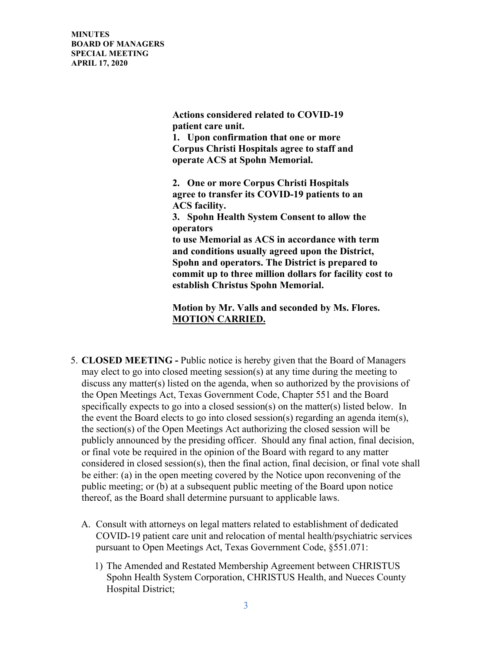> **Actions considered related to COVID-19 patient care unit.**

**1. Upon confirmation that one or more Corpus Christi Hospitals agree to staff and operate ACS at Spohn Memorial.**

**2. One or more Corpus Christi Hospitals agree to transfer its COVID-19 patients to an ACS facility.**

**3. Spohn Health System Consent to allow the operators** 

**to use Memorial as ACS in accordance with term and conditions usually agreed upon the District, Spohn and operators. The District is prepared to commit up to three million dollars for facility cost to establish Christus Spohn Memorial.**

 **Motion by Mr. Valls and seconded by Ms. Flores. MOTION CARRIED.** 

- 5. **CLOSED MEETING -** Public notice is hereby given that the Board of Managers may elect to go into closed meeting session(s) at any time during the meeting to discuss any matter(s) listed on the agenda, when so authorized by the provisions of the Open Meetings Act, Texas Government Code, Chapter 551 and the Board specifically expects to go into a closed session(s) on the matter(s) listed below. In the event the Board elects to go into closed session(s) regarding an agenda item(s), the section(s) of the Open Meetings Act authorizing the closed session will be publicly announced by the presiding officer. Should any final action, final decision, or final vote be required in the opinion of the Board with regard to any matter considered in closed session(s), then the final action, final decision, or final vote shall be either: (a) in the open meeting covered by the Notice upon reconvening of the public meeting; or (b) at a subsequent public meeting of the Board upon notice thereof, as the Board shall determine pursuant to applicable laws.
	- A. Consult with attorneys on legal matters related to establishment of dedicated COVID-19 patient care unit and relocation of mental health/psychiatric services pursuant to Open Meetings Act, Texas Government Code, §551.071:
		- 1) The Amended and Restated Membership Agreement between CHRISTUS Spohn Health System Corporation, CHRISTUS Health, and Nueces County Hospital District;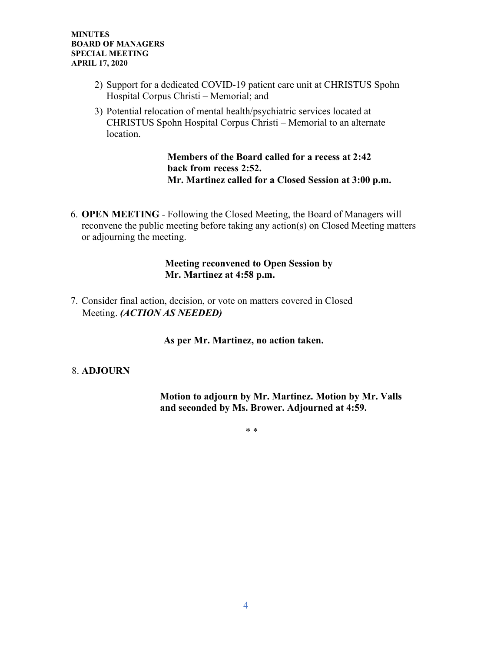- 2) Support for a dedicated COVID-19 patient care unit at CHRISTUS Spohn Hospital Corpus Christi – Memorial; and
- 3) Potential relocation of mental health/psychiatric services located at CHRISTUS Spohn Hospital Corpus Christi – Memorial to an alternate location.

## **Members of the Board called for a recess at 2:42 back from recess 2:52. Mr. Martinez called for a Closed Session at 3:00 p.m.**

6. **OPEN MEETING** - Following the Closed Meeting, the Board of Managers will reconvene the public meeting before taking any action(s) on Closed Meeting matters or adjourning the meeting.

#### **Meeting reconvened to Open Session by Mr. Martinez at 4:58 p.m.**

7. Consider final action, decision, or vote on matters covered in Closed Meeting. *(ACTION AS NEEDED)*

**As per Mr. Martinez, no action taken.** 

# 8. **ADJOURN**

 **Motion to adjourn by Mr. Martinez. Motion by Mr. Valls and seconded by Ms. Brower. Adjourned at 4:59.** 

\* \*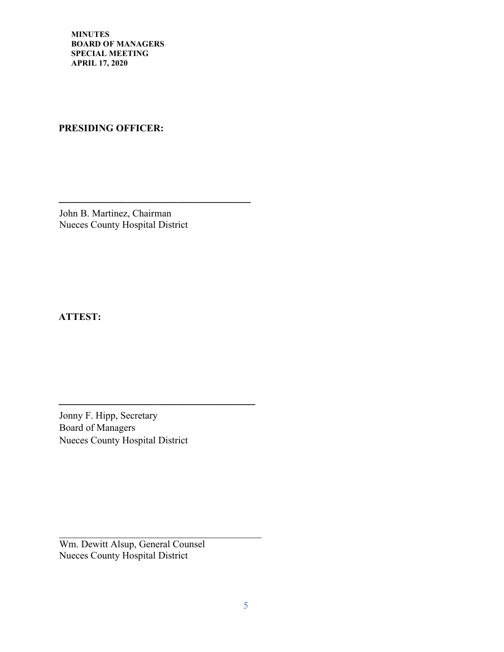# **PRESIDING OFFICER:**

John B. Martinez, Chairman Nueces County Hospital District

**\_\_\_\_\_\_\_\_\_\_\_\_\_\_\_\_\_\_\_\_\_\_\_\_\_\_\_\_\_\_\_\_\_\_\_\_\_\_\_\_\_\_**

**ATTEST:**

Jonny F. Hipp, Secretary Board of Managers Nueces County Hospital District

**\_\_\_\_\_\_\_\_\_\_\_\_\_\_\_\_\_\_\_\_\_\_\_\_\_\_\_\_\_\_\_\_\_\_\_\_\_\_\_\_\_\_\_**

 $\mathcal{L}_\text{max}$  and  $\mathcal{L}_\text{max}$  and  $\mathcal{L}_\text{max}$  and  $\mathcal{L}_\text{max}$ 

Wm. Dewitt Alsup, General Counsel Nueces County Hospital District